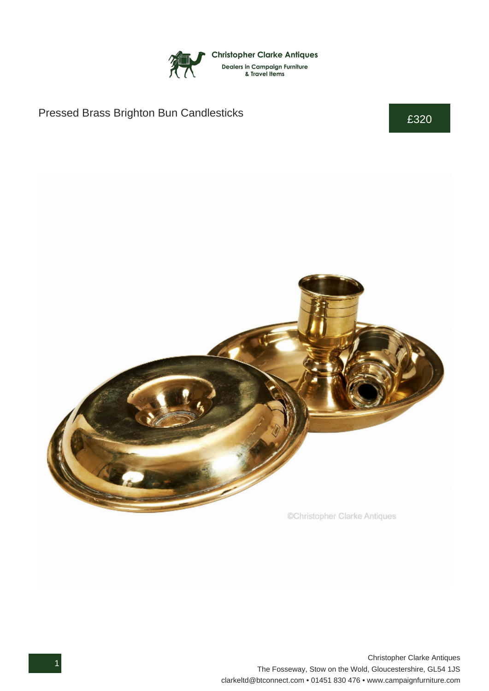

## Pressed Brass Brighton Bun Candlesticks **E320**